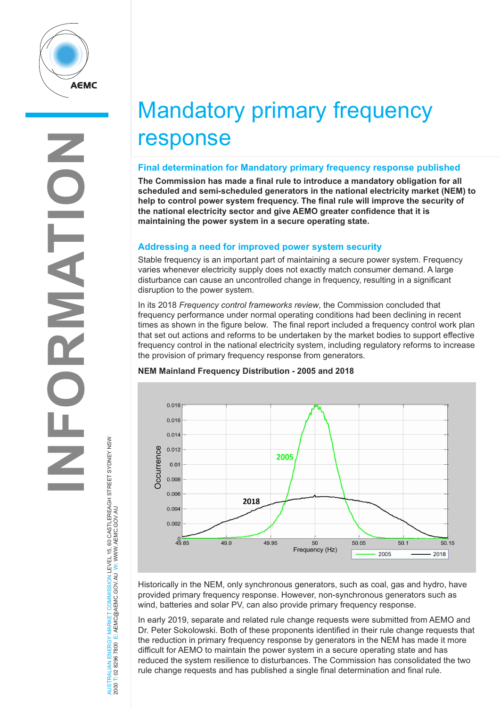

# Mandatory primary frequency response

### **Final determination for Mandatory primary frequency response published**

**The Commission has made a final rule to introduce a mandatory obligation for all scheduled and semi-scheduled generators in the national electricity market (NEM) to help to control power system frequency. The final rule will improve the security of the national electricity sector and give AEMO greater confidence that it is maintaining the power system in a secure operating state.** 

## **Addressing a need for improved power system security**

Stable frequency is an important part of maintaining a secure power system. Frequency varies whenever electricity supply does not exactly match consumer demand. A large disturbance can cause an uncontrolled change in frequency, resulting in a significant disruption to the power system.

In its 2018 *Frequency control frameworks review*, the Commission concluded that frequency performance under normal operating conditions had been declining in recent times as shown in the figure below. The final report included a frequency control work plan that set out actions and reforms to be undertaken by the market bodies to support effective frequency control in the national electricity system, including regulatory reforms to increase the provision of primary frequency response from generators.

## **NEM Mainland Frequency Distribution - 2005 and 2018**



Historically in the NEM, only synchronous generators, such as coal, gas and hydro, have provided primary frequency response. However, non-synchronous generators such as wind, batteries and solar PV, can also provide primary frequency response.

In early 2019, separate and related rule change requests were submitted from AEMO and Dr. Peter Sokolowski. Both of these proponents identified in their rule change requests that the reduction in primary frequency response by generators in the NEM has made it more difficult for AEMO to maintain the power system in a secure operating state and has reduced the system resilience to disturbances. The Commission has consolidated the two rule change requests and has published a single final determination and final rule.

AUSTRALIAN ENERGY MARKET COMMISSION LEVEL 15, 60 CASTLEREAGH STREET SYDNEY NSW Y MARKET COMMISSION LEVEL 15, 60 CASTLEREAGH STREET SYDNEY NSW<br>E: AEMC@AEMC.GOV AU W. WWW AEMC.GOV AU 2000 T: 02 8296 7800 E: AEMC@AEMC.GOV.AU W: WWW.AEMC.GOV.AU AUSTRALIAN ENERGY MARKET 2000 T: 02 8296 7800